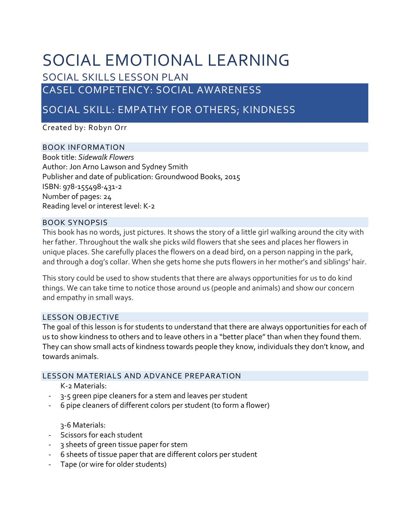# SOCIAL EMOTIONAL LEARNING

SOCIAL SKILLS LESSON PLAN

# CASEL COMPETENCY: SOCIAL AWARENESS

SOCIAL SKILL: EMPATHY FOR OTHERS; KINDNESS

Created by: Robyn Orr

# BOOK INFORMATION

Book title: *Sidewalk Flowers* Author: Jon Arno Lawson and Sydney Smith Publisher and date of publication: Groundwood Books, 2015 ISBN: 978‐155498‐431‐2 Number of pages: 24 Reading level or interest level: K‐2

# BOOK SYNOPSIS

This book has no words, just pictures. It shows the story of a little girl walking around the city with her father. Throughout the walk she picks wild flowers that she sees and places her flowers in unique places. She carefully places the flowers on a dead bird, on a person napping in the park, and through a dog's collar. When she gets home she puts flowers in her mother's and siblings' hair.

This story could be used to show students that there are always opportunities for us to do kind things. We can take time to notice those around us (people and animals) and show our concern and empathy in small ways.

# LESSON OBJECTIVE

The goal of this lesson is for students to understand that there are always opportunities for each of us to show kindness to others and to leave others in a "better place" than when they found them. They can show small acts of kindness towards people they know, individuals they don't know, and towards animals.

# LESSON MATERIALS AND ADVANCE PREPARATION

#### K‐2 Materials:

- ‐ 3‐5 green pipe cleaners for a stem and leaves per student
- ‐ 6 pipe cleaners of different colors per student (to form a flower)

3‐6 Materials:

- ‐ Scissors for each student
- ‐ 3 sheets of green tissue paper for stem
- ‐ 6 sheets of tissue paper that are different colors per student
- ‐ Tape (or wire for older students)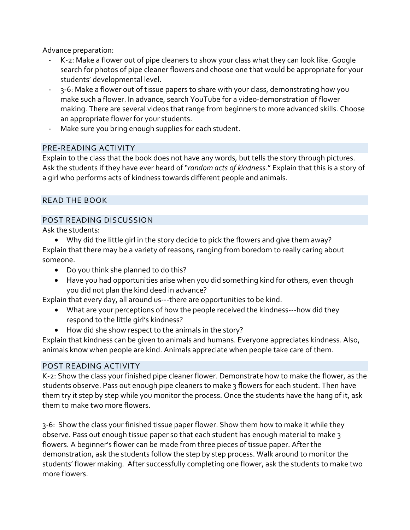Advance preparation:

- ‐ K‐2: Make a flower out of pipe cleaners to show your class what they can look like. Google search for photos of pipe cleaner flowers and choose one that would be appropriate for your students' developmental level.
- ‐ 3‐6: Make a flower out of tissue papers to share with your class, demonstrating how you make such a flower. In advance, search YouTube for a video‐demonstration of flower making. There are several videos that range from beginners to more advanced skills. Choose an appropriate flower for your students.
- Make sure you bring enough supplies for each student.

#### PRE‐READING ACTIVITY

Explain to the class that the book does not have any words, but tells the story through pictures. Ask the students if they have ever heard of "*random acts of kindness*." Explain that this is a story of a girl who performs acts of kindness towards different people and animals.

# READ THE BOOK

# POST READING DISCUSSION

Ask the students:

 Why did the little girl in the story decide to pick the flowers and give them away? Explain that there may be a variety of reasons, ranging from boredom to really caring about someone.

- Do you think she planned to do this?
- Have you had opportunities arise when you did something kind for others, even though you did not plan the kind deed in advance?

Explain that every day, all around us---there are opportunities to be kind.

- What are your perceptions of how the people received the kindness---how did they respond to the little girl's kindness?
- How did she show respect to the animals in the story?

Explain that kindness can be given to animals and humans. Everyone appreciates kindness. Also, animals know when people are kind. Animals appreciate when people take care of them.

# POST READING ACTIVITY

K-2: Show the class your finished pipe cleaner flower. Demonstrate how to make the flower, as the students observe. Pass out enough pipe cleaners to make 3 flowers for each student. Then have them try it step by step while you monitor the process. Once the students have the hang of it, ask them to make two more flowers.

3‐6: Show the class your finished tissue paper flower. Show them how to make it while they observe. Pass out enough tissue paper so that each student has enough material to make 3 flowers. A beginner's flower can be made from three pieces of tissue paper. After the demonstration, ask the students follow the step by step process. Walk around to monitor the students' flower making. After successfully completing one flower, ask the students to make two more flowers.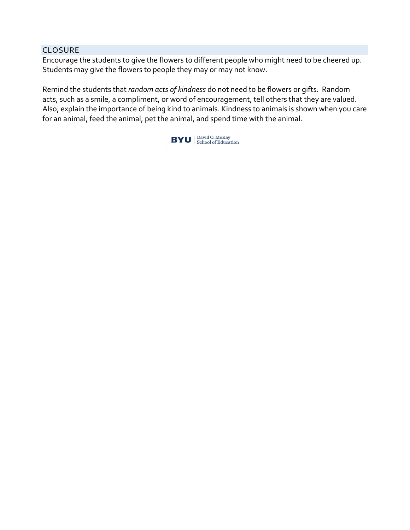#### CLOSURE

Encourage the students to give the flowers to different people who might need to be cheered up. Students may give the flowers to people they may or may not know.

Remind the students that *random acts of kindness* do not need to be flowers or gifts. Random acts, such as a smile, a compliment, or word of encouragement, tell others that they are valued. Also, explain the importance of being kind to animals. Kindness to animals is shown when you care for an animal, feed the animal, pet the animal, and spend time with the animal.